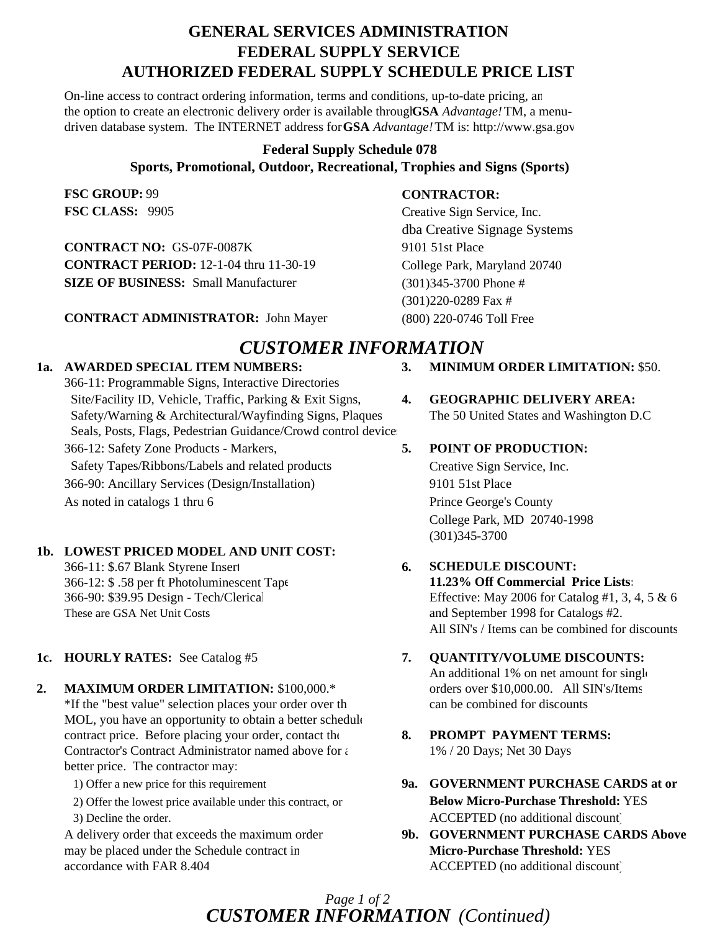# **GENERAL SERVICES ADMINISTRATION FEDERAL SUPPLY SERVICE AUTHORIZED FEDERAL SUPPLY SCHEDULE PRICE LIST**

On-line access to contract ordering information, terms and conditions, up-to-date pricing, an the option to create an electronic delivery order is available through**GSA** *Advantage!*TM, a menudriven database system. The INTERNET address for **GSA** *Advantage!*TM is: http://www.gsa.gov

# **Federal Supply Schedule 078 Sports, Promotional, Outdoor, Recreational, Trophies and Signs (Sports)**

**FSC GROUP:** 99 **FSC CLASS:** 9905

**CONTRACT NO:** GS-07F-0087K **CONTRACT PERIOD:** 12-1-04 thru 11-30-19 **SIZE OF BUSINESS:** Small Manufacturer

**CONTRACT ADMINISTRATOR:** John Mayer (800) 220-0746 Toll Free

## **CONTRACTOR:**

Creative Sign Service, Inc. dba Creative Signage Systems 9101 51st Place College Park, Maryland 20740 (301)345-3700 Phone # (301)220-0289 Fax #

# *CUSTOMER INFORMATION*

## **1a. AWARDED SPECIAL ITEM NUMBERS: 3. MINIMUM ORDER LIMITATION:** \$50.

366-11: Programmable Signs, Interactive Directories Site/Facility ID, Vehicle, Traffic, Parking & Exit Signs, **4. GEOGRAPHIC DELIVERY AREA:** Safety/Warning & Architectural/Wayfinding Signs, Plaques The 50 United States and Washington D.C Seals, Posts, Flags, Pedestrian Guidance/Crowd control device 366-12: Safety Zone Products - Markers, **5. POINT OF PRODUCTION:** Safety Tapes/Ribbons/Labels and related products Creative Sign Service, Inc. 366-90: Ancillary Services (Design/Installation) 9101 51st Place As noted in catalogs 1 thru 6 Prince George's County

## **1b. LOWEST PRICED MODEL AND UNIT COST:**

366-11: \$.67 Blank Styrene Insert **6. SCHEDULE DISCOUNT:** 366-12: \$ .58 per ft Photoluminescent Tape **11.23% Off Commercial Price Lists:** These are GSA Net Unit Costs and September 1998 for Catalogs #2.

## **2. MAXIMUM ORDER LIMITATION:** \$100,000.\* orders over \$10,000.00. All SIN's/Items

\*If the "best value" selection places your order over th can be combined for discounts MOL, you have an opportunity to obtain a better schedule contract price. Before placing your order, contact the **8. PROMPT PAYMENT TERMS:** Contractor's Contract Administrator named above for  $\epsilon$  1% / 20 Days; Net 30 Days better price. The contractor may:

may be placed under the Schedule contract in **Micro-Purchase Threshold:** YES accordance with FAR 8.404 ACCEPTED (no additional discount)

College Park, MD 20740-1998 (301)345-3700

# 366-90: \$39.95 Design - Tech/Clerical Effective: May 2006 for Catalog #1, 3, 4, 5 & 6 All SIN's / Items can be combined for discounts

## **1c. HOURLY RATES:** See Catalog #5 **7. QUANTITY/VOLUME DISCOUNTS:**

An additional 1% on net amount for single

- 
- 1) Offer a new price for this requirement **9a. GOVERNMENT PURCHASE CARDS at or** 2) Offer the lowest price available under this contract, or **Below Micro-Purchase Threshold:** YES 3) Decline the order. ACCEPTED (no additional discount)
- A delivery order that exceeds the maximum order **9b. GOVERNMENT PURCHASE CARDS Above**

## *CUSTOMER INFORMATION (Continued) Page 1 of 2*